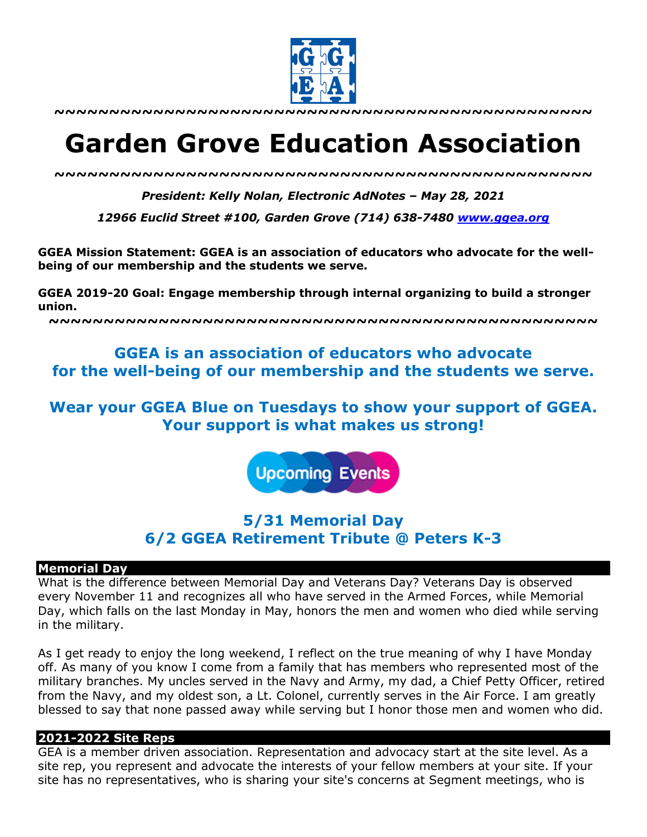

**~~~~~~~~~~~~~~~~~~~~~~~~~~~~~~~~~~~~~~~~~~~~~~~~~**

# **Garden Grove Education Association**

*~~~~~~~~~~~~~~~~~~~~~~~~~~~~~~~~~~~~~~~~~~~~~~~~~*

*President: Kelly Nolan, Electronic AdNotes – May 28, 2021*

*12966 Euclid Street #100, Garden Grove (714) 638-7480 www.ggea.org*

**GGEA Mission Statement: GGEA is an association of educators who advocate for the wellbeing of our membership and the students we serve.** 

**GGEA 2019-20 Goal: Engage membership through internal organizing to build a stronger union.**

**~~~~~~~~~~~~~~~~~~~~~~~~~~~~~~~~~~~~~~~~~~~~~~~~~~**

## **GGEA is an association of educators who advocate for the well-being of our membership and the students we serve.**

# **Wear your GGEA Blue on Tuesdays to show your support of GGEA. Your support is what makes us strong!**

**Upcoming Events** 

# **5/31 Memorial Day 6/2 GGEA Retirement Tribute @ Peters K-3**

#### **Memorial Day**

What is the difference between Memorial Day and Veterans Day? Veterans Day is observed every November 11 and recognizes all who have served in the Armed Forces, while Memorial Day, which falls on the last Monday in May, honors the men and women who died while serving in the military.

As I get ready to enjoy the long weekend, I reflect on the true meaning of why I have Monday off. As many of you know I come from a family that has members who represented most of the military branches. My uncles served in the Navy and Army, my dad, a Chief Petty Officer, retired from the Navy, and my oldest son, a Lt. Colonel, currently serves in the Air Force. I am greatly blessed to say that none passed away while serving but I honor those men and women who did.

#### **2021-2022 Site Reps**

GEA is a member driven association. Representation and advocacy start at the site level. As a site rep, you represent and advocate the interests of your fellow members at your site. If your site has no representatives, who is sharing your site's concerns at Segment meetings, who is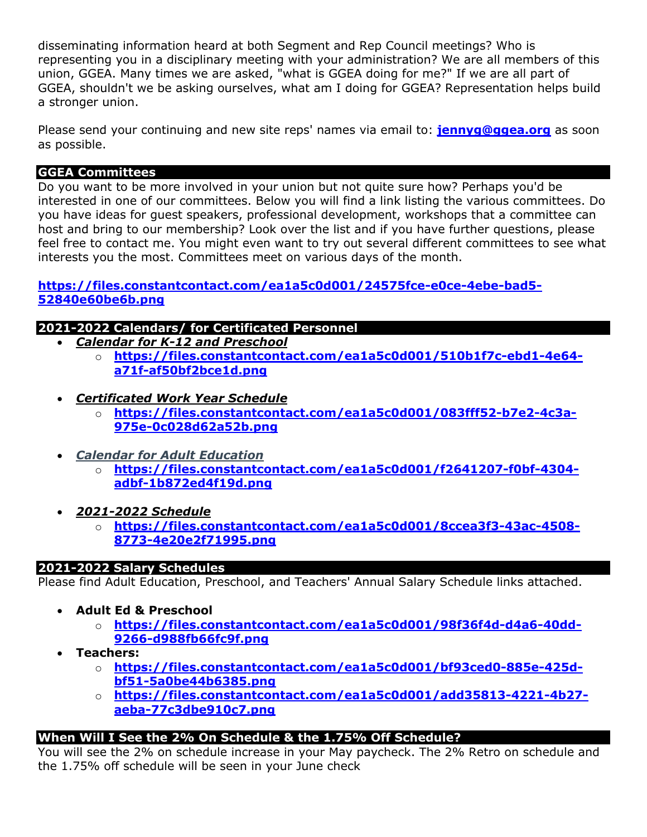disseminating information heard at both Segment and Rep Council meetings? Who is representing you in a disciplinary meeting with your administration? We are all members of this union, GGEA. Many times we are asked, "what is GGEA doing for me?" If we are all part of GGEA, shouldn't we be asking ourselves, what am I doing for GGEA? Representation helps build a stronger union.

Please send your continuing and new site reps' names via email to: **jennyg@ggea.org** as soon as possible.

## **GGEA Committees**

Do you want to be more involved in your union but not quite sure how? Perhaps you'd be interested in one of our committees. Below you will find a link listing the various committees. Do you have ideas for guest speakers, professional development, workshops that a committee can host and bring to our membership? Look over the list and if you have further questions, please feel free to contact me. You might even want to try out several different committees to see what interests you the most. Committees meet on various days of the month.

**https://files.constantcontact.com/ea1a5c0d001/24575fce-e0ce-4ebe-bad5- 52840e60be6b.png**

## **2021-2022 Calendars/ for Certificated Personnel**

- *Calendar for K-12 and Preschool*
	- o **https://files.constantcontact.com/ea1a5c0d001/510b1f7c-ebd1-4e64 a71f-af50bf2bce1d.png**
- *Certificated Work Year Schedule*
	- o **https://files.constantcontact.com/ea1a5c0d001/083fff52-b7e2-4c3a-975e-0c028d62a52b.png**
- *Calendar for Adult Education*
	- o **https://files.constantcontact.com/ea1a5c0d001/f2641207-f0bf-4304 adbf-1b872ed4f19d.png**
- *2021-2022 Schedule*
	- o **https://files.constantcontact.com/ea1a5c0d001/8ccea3f3-43ac-4508- 8773-4e20e2f71995.png**

## **2021-2022 Salary Schedules**

Please find Adult Education, Preschool, and Teachers' Annual Salary Schedule links attached.

- **Adult Ed & Preschool**
	- o **https://files.constantcontact.com/ea1a5c0d001/98f36f4d-d4a6-40dd-9266-d988fb66fc9f.png**
- **Teachers:**
	- o **https://files.constantcontact.com/ea1a5c0d001/bf93ced0-885e-425dbf51-5a0be44b6385.png**
	- o **https://files.constantcontact.com/ea1a5c0d001/add35813-4221-4b27 aeba-77c3dbe910c7.png**

## **When Will I See the 2% On Schedule & the 1.75% Off Schedule?**

You will see the 2% on schedule increase in your May paycheck. The 2% Retro on schedule and the 1.75% off schedule will be seen in your June check